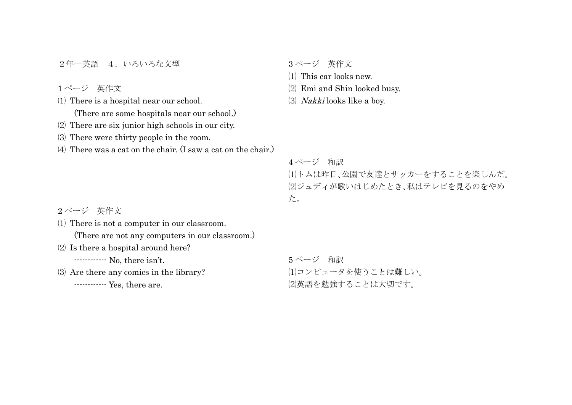2年–英語 4. いろいろな文型

1 ページ 英作文

⑴ There is a hospital near our school.

(There are some hospitals near our school.)

- ⑵ There are six junior high schools in our city.
- ⑶ There were thirty people in the room.

⑷ There was a cat on the chair. (I saw a cat on the chair.)

3 ページ 英作文

⑴ This car looks new.

- ⑵ Emi and Shin looked busy.
- ⑶ Nakki looks like a boy.

4 ページ 和訳

⑴トムは昨日、公園で友達とサッカーをすることを楽しんだ。 ⑵ジュディが歌いはじめたとき、私はテレビを見るのをやめ た。

2 ページ 英作文

⑴ There is not a computer in our classroom.

(There are not any computers in our classroom.)

⑵ Is there a hospital around here?

------------ No, there isn't.

⑶ Are there any comics in the library?

```
------------ Yes, there are.
```
5 ページ 和訳 ⑴コンピュータを使うことは難しい。 ⑵英語を勉強することは大切です。